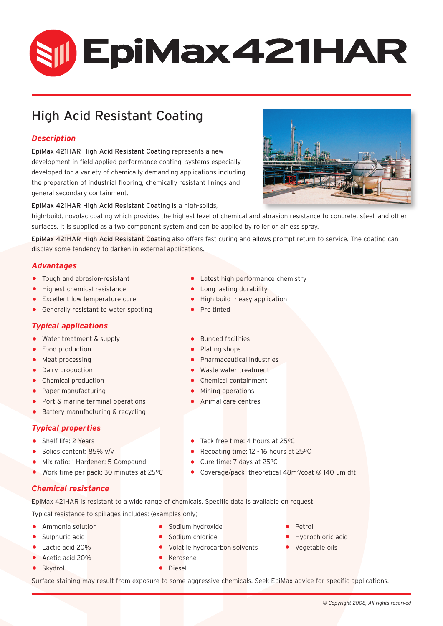# **SII EpiMax421HAR**

# High Acid Resistant Coating

# *Description*

EpiMax 421HAR High Acid Resistant Coating represents a new development in field applied performance coating systems especially developed for a variety of chemically demanding applications including the preparation of industrial flooring, chemically resistant linings and general secondary containment.



#### EpiMax 421HAR High Acid Resistant Coating is a high-solids,

high-build, novolac coating which provides the highest level of chemical and abrasion resistance to concrete, steel, and other surfaces. It is supplied as a two component system and can be applied by roller or airless spray.

EpiMax 421HAR High Acid Resistant Coating also offers fast curing and allows prompt return to service. The coating can display some tendency to darken in external applications.

## *Advantages*

- 
- 
- Highest chemical resistance<br>• Excellent low temperature cure
- $\bullet$  Generally resistant to water spotting

#### *Typical applications*

- Water treatment & supply Bunded facilities<br>• Food production Plating shops
- Food production<br>• Meat processing
- 
- 
- 
- Chemical production Chemical containm<br>• Paper manufacturing Chemical containm
- Paper manufacturing Mining operations • Port & marine terminal operations<br>• Battery manufacturing & recycling
- Battery manufacturing & recycling

# *Typical properties*

- 
- Shelf life: 2 Years Tack free time: 4 hours at 25°C<br>• Solids content: 85% v/v<br>• Recoating time: 12 16 hours at
- Mix ratio: 1 Hardener: 5 Compound<br>• Work time per pack: 30 minutes at
- Work time per pack: 30 minutes at 25°C
- *Chemical resistance*

EpiMax 421HAR is resistant to a wide range of chemicals. Specific data is available on request.

Typical resistance to spillages includes: (examples only)

- 
- 
- 
- Acetic acid 20% Kerosene
- Skydrol Diesel
- Ammonia solution Sodium hydroxide Petrol
	-
- Lactic acid 20% Volatile hydrocarbon solvents Vegetable oils<br>• Acetic acid 20% Verosene
	-
	-
- 
- Sulphuric acid Sodium chloride Hydrochloric acid
	-

Surface staining may result from exposure to some aggressive chemicals. Seek EpiMax advice for specific applications.

- Tough and abrasion-resistant Latest high performance chemistry<br>• Highest chemical resistance Cong lasting durability
	-
	- High build easy application<br>• Pre tinted
	-
	-
	-
- Meat processing Pharmaceutical industries

• Recoating time: 12 - 16 hours at 25°C<br>• Cure time: 7 days at 25°C

• Coverage/pack-theoretical 48m<sup>2</sup>/coat @ 140 um dft

- Waste water treatment<br>Chemical containment
- 
- 
-